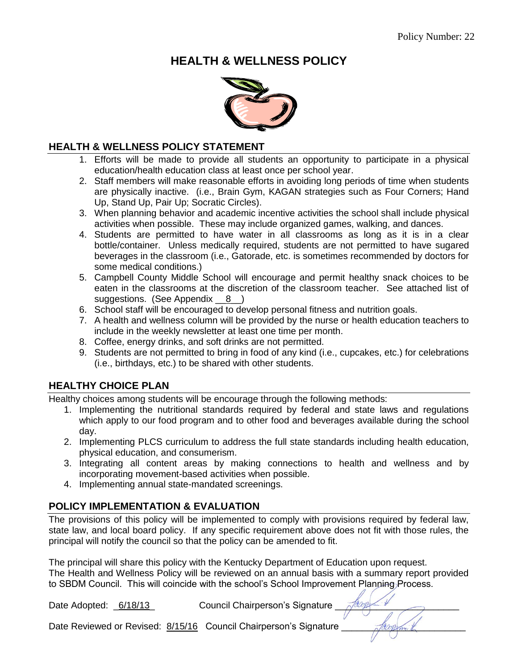# **HEALTH & WELLNESS POLICY**



#### **HEALTH & WELLNESS POLICY STATEMENT**

- 1. Efforts will be made to provide all students an opportunity to participate in a physical education/health education class at least once per school year.
- 2. Staff members will make reasonable efforts in avoiding long periods of time when students are physically inactive. (i.e., Brain Gym, KAGAN strategies such as Four Corners; Hand Up, Stand Up, Pair Up; Socratic Circles).
- 3. When planning behavior and academic incentive activities the school shall include physical activities when possible. These may include organized games, walking, and dances.
- 4. Students are permitted to have water in all classrooms as long as it is in a clear bottle/container. Unless medically required, students are not permitted to have sugared beverages in the classroom (i.e., Gatorade, etc. is sometimes recommended by doctors for some medical conditions.)
- 5. Campbell County Middle School will encourage and permit healthy snack choices to be eaten in the classrooms at the discretion of the classroom teacher. See attached list of suggestions. (See Appendix 8)
- 6. School staff will be encouraged to develop personal fitness and nutrition goals.
- 7. A health and wellness column will be provided by the nurse or health education teachers to include in the weekly newsletter at least one time per month.
- 8. Coffee, energy drinks, and soft drinks are not permitted.
- 9. Students are not permitted to bring in food of any kind (i.e., cupcakes, etc.) for celebrations (i.e., birthdays, etc.) to be shared with other students.

## **HEALTHY CHOICE PLAN**

Healthy choices among students will be encourage through the following methods:

- 1. Implementing the nutritional standards required by federal and state laws and regulations which apply to our food program and to other food and beverages available during the school day.
- 2. Implementing PLCS curriculum to address the full state standards including health education, physical education, and consumerism.
- 3. Integrating all content areas by making connections to health and wellness and by incorporating movement-based activities when possible.
- 4. Implementing annual state-mandated screenings.

## **POLICY IMPLEMENTATION & EVALUATION**

The provisions of this policy will be implemented to comply with provisions required by federal law, state law, and local board policy. If any specific requirement above does not fit with those rules, the principal will notify the council so that the policy can be amended to fit.

The principal will share this policy with the Kentucky Department of Education upon request. The Health and Wellness Policy will be reviewed on an annual basis with a summary report provided to SBDM Council. This will coincide with the school's School Improvement Planning Process.

Date Adopted:  $6/18/13$  Council Chairperson's Signature

Date Reviewed or Revised: 8/15/16 Council Chairperson's Signature